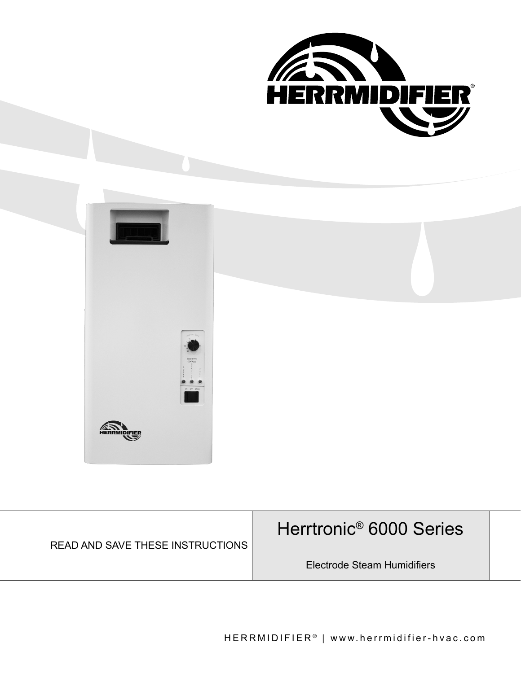

| <b>READ AND SAVE THESE INSTRUCTIONS</b> | Herrtronic <sup>®</sup> 6000 Series |  |
|-----------------------------------------|-------------------------------------|--|
|                                         | Electrode Steam Humidifiers         |  |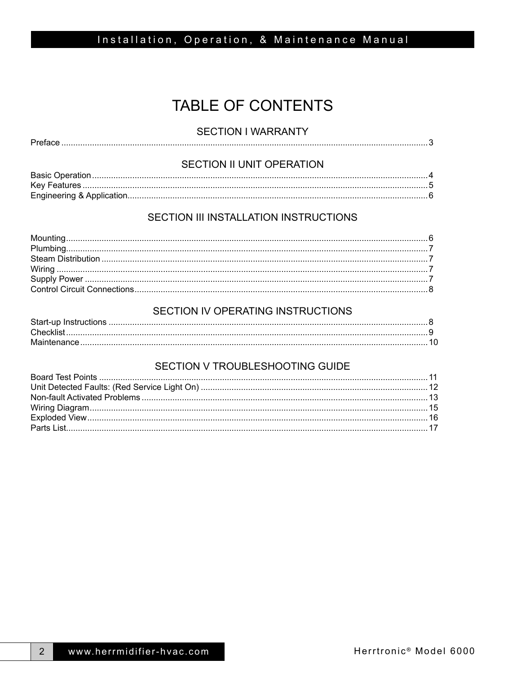# **TABLE OF CONTENTS**

### **SECTION I WARRANTY**

|--|

## SECTION II UNIT OPERATION

### SECTION III INSTALLATION INSTRUCTIONS

### SECTION IV OPERATING INSTRUCTIONS

### SECTION V TROUBLESHOOTING GUIDE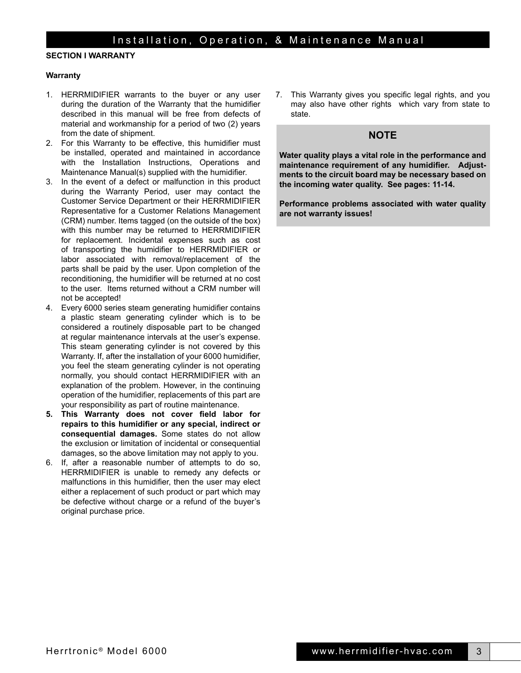### **SECTION I WARRANTY**

#### **Warranty**

- 1. HERRMIDIFIER warrants to the buyer or any user during the duration of the Warranty that the humidifier described in this manual will be free from defects of material and workmanship for a period of two (2) years from the date of shipment.
- 2. For this Warranty to be effective, this humidifier must be installed, operated and maintained in accordance with the Installation Instructions, Operations and Maintenance Manual(s) supplied with the humidifier.
- 3. In the event of a defect or malfunction in this product during the Warranty Period, user may contact the Customer Service Department or their HERRMIDIFIER Representative for a Customer Relations Management (CRM) number. Items tagged (on the outside of the box) with this number may be returned to HERRMIDIFIER for replacement. Incidental expenses such as cost of transporting the humidifier to HERRMIDIFIER or labor associated with removal/replacement of the parts shall be paid by the user. Upon completion of the reconditioning, the humidifier will be returned at no cost to the user. Items returned without a CRM number will not be accepted!
- 4. Every 6000 series steam generating humidifier contains a plastic steam generating cylinder which is to be considered a routinely disposable part to be changed at regular maintenance intervals at the user's expense. This steam generating cylinder is not covered by this Warranty. If, after the installation of your 6000 humidifier, you feel the steam generating cylinder is not operating normally, you should contact HERRMIDIFIER with an explanation of the problem. However, in the continuing operation of the humidifier, replacements of this part are your responsibility as part of routine maintenance.
- **5. This Warranty does not cover field labor for repairs to this humidifier or any special, indirect or consequential damages.** Some states do not allow the exclusion or limitation of incidental or consequential damages, so the above limitation may not apply to you.
- 6. If, after a reasonable number of attempts to do so, HERRMIDIFIER is unable to remedy any defects or malfunctions in this humidifier, then the user may elect either a replacement of such product or part which may be defective without charge or a refund of the buyer's original purchase price.

7. This Warranty gives you specific legal rights, and you may also have other rights which vary from state to state.

### **NOTE**

**Water quality plays a vital role in the performance and maintenance requirement of any humidifier. Adjustments to the circuit board may be necessary based on the incoming water quality. See pages: 11-14.**

**Performance problems associated with water quality are not warranty issues!**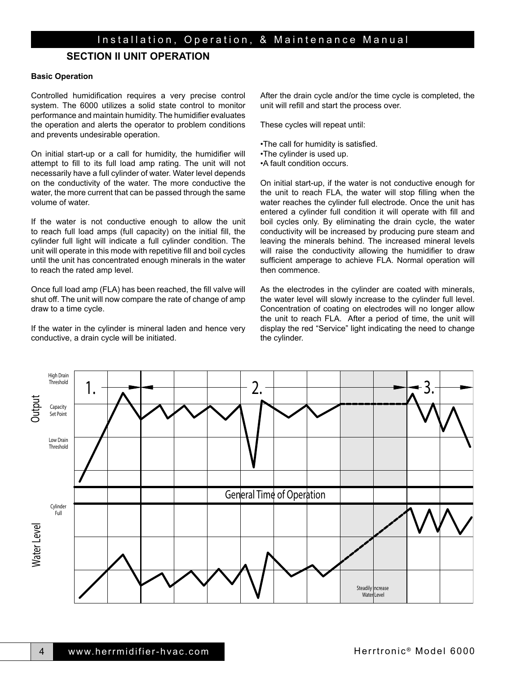### **SECTION II UNIT OPERATION**

#### **Basic Operation**

Controlled humidification requires a very precise control system. The 6000 utilizes a solid state control to monitor performance and maintain humidity. The humidifier evaluates the operation and alerts the operator to problem conditions and prevents undesirable operation.

On initial start-up or a call for humidity, the humidifier will attempt to fill to its full load amp rating. The unit will not necessarily have a full cylinder of water. Water level depends on the conductivity of the water. The more conductive the water, the more current that can be passed through the same volume of water.

If the water is not conductive enough to allow the unit to reach full load amps (full capacity) on the initial fill, the cylinder full light will indicate a full cylinder condition. The unit will operate in this mode with repetitive fill and boil cycles until the unit has concentrated enough minerals in the water to reach the rated amp level.

Once full load amp (FLA) has been reached, the fill valve will shut off. The unit will now compare the rate of change of amp draw to a time cycle.

If the water in the cylinder is mineral laden and hence very conductive, a drain cycle will be initiated.

After the drain cycle and/or the time cycle is completed, the unit will refill and start the process over.

These cycles will repeat until:

- •The call for humidity is satisfied.
- •The cylinder is used up.
- •A fault condition occurs.

On initial start-up, if the water is not conductive enough for the unit to reach FLA, the water will stop filling when the water reaches the cylinder full electrode. Once the unit has entered a cylinder full condition it will operate with fill and boil cycles only. By eliminating the drain cycle, the water conductivity will be increased by producing pure steam and leaving the minerals behind. The increased mineral levels will raise the conductivity allowing the humidifier to draw sufficient amperage to achieve FLA. Normal operation will then commence.

As the electrodes in the cylinder are coated with minerals, the water level will slowly increase to the cylinder full level. Concentration of coating on electrodes will no longer allow the unit to reach FLA. After a period of time, the unit will display the red "Service" light indicating the need to change the cylinder.

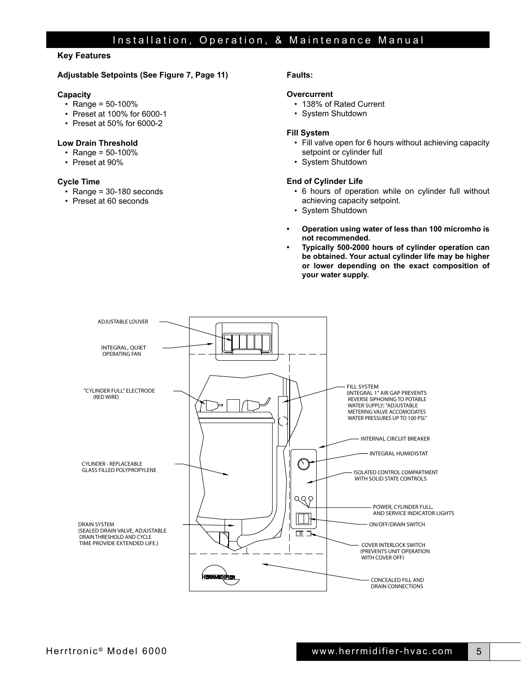### **Key Features**

#### **Adjustable Setpoints (See Figure 7, Page 11)**

#### **Capacity**

- Range =  $50 100\%$
- Preset at 100% for 6000-1
- Preset at 50% for 6000-2

#### **Low Drain Threshold**

- Range =  $50 100\%$
- Preset at 90%

#### **Cycle Time**

- Range = 30-180 seconds
- Preset at 60 seconds

### **Faults:**

#### **Overcurrent**

- 138% of Rated Current
- System Shutdown

#### **Fill System**

- Fill valve open for 6 hours without achieving capacity setpoint or cylinder full
- System Shutdown

#### **End of Cylinder Life**

- 6 hours of operation while on cylinder full without achieving capacity setpoint.
- System Shutdown
- **• Operation using water of less than 100 micromho is not recommended.**
- **• Typically 500-2000 hours of cylinder operation can be obtained. Your actual cylinder life may be higher or lower depending on the exact composition of your water supply.**

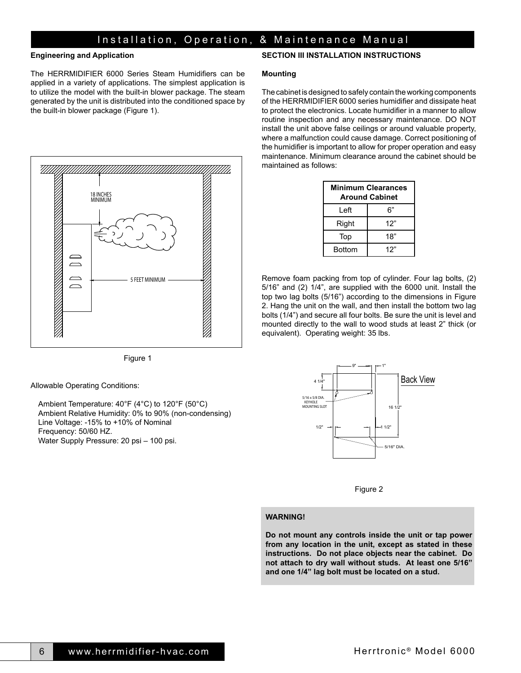#### **Engineering and Application**

The HERRMIDIFIER 6000 Series Steam Humidifiers can be applied in a variety of applications. The simplest application is to utilize the model with the built-in blower package. The steam generated by the unit is distributed into the conditioned space by the built-in blower package (Figure 1).



Figure 1

Allowable Operating Conditions:

Ambient Temperature: 40°F (4°C) to 120°F (50°C) Ambient Relative Humidity: 0% to 90% (non-condensing) Line Voltage: -15% to +10% of Nominal Frequency: 50/60 HZ. Water Supply Pressure: 20 psi – 100 psi.

#### **SECTION III INSTALLATION INSTRUCTIONS**

#### **Mounting**

The cabinet is designed to safely contain the working components of the HERRMIDIFIER 6000 series humidifier and dissipate heat to protect the electronics. Locate humidifier in a manner to allow routine inspection and any necessary maintenance. DO NOT install the unit above false ceilings or around valuable property, where a malfunction could cause damage. Correct positioning of the humidifier is important to allow for proper operation and easy maintenance. Minimum clearance around the cabinet should be maintained as follows:

|               | <b>Minimum Clearances</b><br><b>Around Cabinet</b> |
|---------------|----------------------------------------------------|
| Left          | 6"                                                 |
| Right         | 12"                                                |
| Top           | 18"                                                |
| <b>Bottom</b> | 12"                                                |

Remove foam packing from top of cylinder. Four lag bolts, (2) 5/16" and (2) 1/4", are supplied with the 6000 unit. Install the top two lag bolts (5/16") according to the dimensions in Figure 2. Hang the unit on the wall, and then install the bottom two lag bolts (1/4") and secure all four bolts. Be sure the unit is level and mounted directly to the wall to wood studs at least 2" thick (or equivalent). Operating weight: 35 lbs.



Figure 2

#### **WARNING!**

**Do not mount any controls inside the unit or tap power from any location in the unit, except as stated in these instructions. Do not place objects near the cabinet. Do not attach to dry wall without studs. At least one 5/16" and one 1/4" lag bolt must be located on a stud.**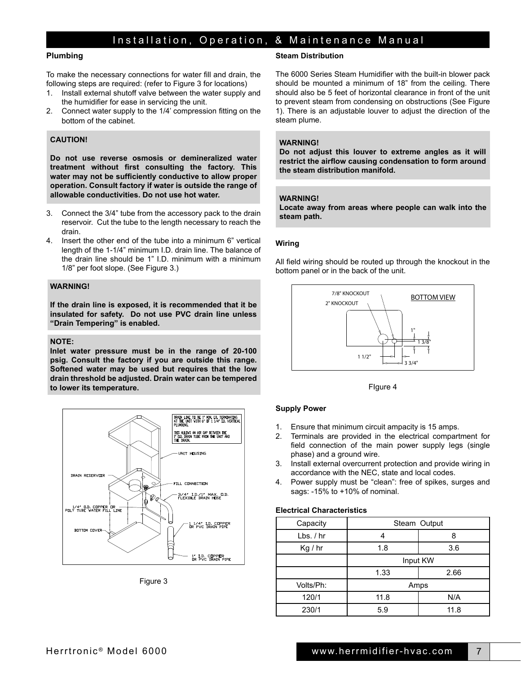#### **Plumbing**

To make the necessary connections for water fill and drain, the following steps are required: (refer to Figure 3 for locations)

- 1. Install external shutoff valve between the water supply and the humidifier for ease in servicing the unit.
- 2. Connect water supply to the 1/4' compression fitting on the bottom of the cabinet.

### **CAUTION!**

**Do not use reverse osmosis or demineralized water treatment without first consulting the factory. This water may not be sufficiently conductive to allow proper operation. Consult factory if water is outside the range of allowable conductivities. Do not use hot water.**

- 3. Connect the 3/4" tube from the accessory pack to the drain reservoir. Cut the tube to the length necessary to reach the drain.
- 4. Insert the other end of the tube into a minimum 6" vertical length of the 1-1/4" minimum I.D. drain line. The balance of the drain line should be 1" I.D. minimum with a minimum 1/8" per foot slope. (See Figure 3.)

#### **WARNING!**

**If the drain line is exposed, it is recommended that it be insulated for safety. Do not use PVC drain line unless "Drain Tempering" is enabled.**

#### **NOTE:**

**Inlet water pressure must be in the range of 20-100 psig. Consult the factory if you are outside this range. Softened water may be used but requires that the low drain threshold be adjusted. Drain water can be tempered to lower its temperature.**



Figure 3

#### **Steam Distribution**

The 6000 Series Steam Humidifier with the built-in blower pack should be mounted a minimum of 18" from the ceiling. There should also be 5 feet of horizontal clearance in front of the unit to prevent steam from condensing on obstructions (See Figure 1). There is an adjustable louver to adjust the direction of the steam plume.

#### **WARNING!**

**Do not adjust this louver to extreme angles as it will restrict the airflow causing condensation to form around the steam distribution manifold.**

#### **WARNING!**

**Locate away from areas where people can walk into the steam path.**

#### **Wiring**

All field wiring should be routed up through the knockout in the bottom panel or in the back of the unit.



FIgure 4

#### **Supply Power**

- 1. Ensure that minimum circuit ampacity is 15 amps.
- 2. Terminals are provided in the electrical compartment for field connection of the main power supply legs (single phase) and a ground wire.
- 3. Install external overcurrent protection and provide wiring in accordance with the NEC, state and local codes.
- 4. Power supply must be "clean": free of spikes, surges and sags: -15% to +10% of nominal.

#### **Electrical Characteristics**

| Capacity    | Steam Output |          |
|-------------|--------------|----------|
| $Lbs.$ / hr |              |          |
| Kg / hr     | 1.8          | 3.6      |
|             |              | Input KW |
|             | 1.33         | 2.66     |
| Volts/Ph:   | Amps         |          |
| 120/1       | 11.8         | N/A      |
| 230/1       | 5.9          | 11.8     |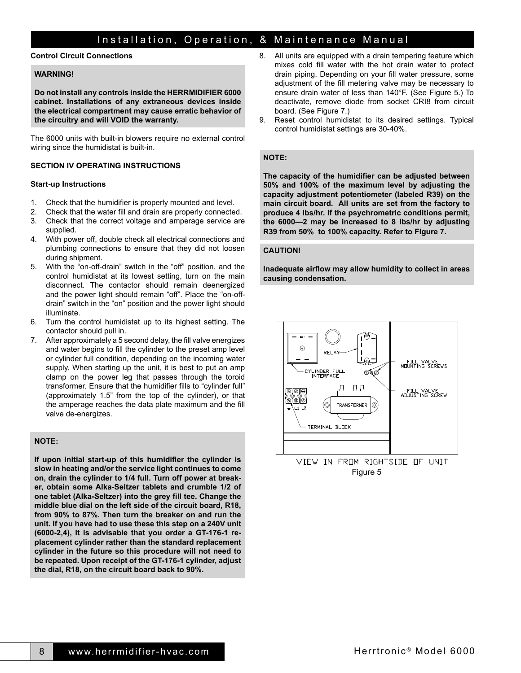#### **Control Circuit Connections**

#### **WARNING!**

**Do not install any controls inside the HERRMIDIFIER 6000 cabinet. Installations of any extraneous devices inside the electrical compartment may cause erratic behavior of the circuitry and will VOID the warranty.**

The 6000 units with built-in blowers require no external control wiring since the humidistat is built-in.

#### **SECTION IV OPERATING INSTRUCTIONS**

#### **Start-up Instructions**

- 1. Check that the humidifier is properly mounted and level.
- 2. Check that the water fill and drain are properly connected. 3. Check that the correct voltage and amperage service are
- supplied. 4. With power off, double check all electrical connections and plumbing connections to ensure that they did not loosen during shipment.
- 5. With the "on-off-drain" switch in the "off" position, and the control humidistat at its lowest setting, turn on the main disconnect. The contactor should remain deenergized and the power light should remain "off". Place the "on-offdrain" switch in the "on" position and the power light should illuminate.
- 6. Turn the control humidistat up to its highest setting. The contactor should pull in.
- 7. After approximately a 5 second delay, the fill valve energizes and water begins to fill the cylinder to the preset amp level or cylinder full condition, depending on the incoming water supply. When starting up the unit, it is best to put an amp clamp on the power leg that passes through the toroid transformer. Ensure that the humidifier fills to "cylinder full" (approximately 1.5" from the top of the cylinder), or that the amperage reaches the data plate maximum and the fill valve de-energizes.

#### **NOTE:**

**If upon initial start-up of this humidifier the cylinder is slow in heating and/or the service light continues to come on, drain the cylinder to 1/4 full. Turn off power at breaker, obtain some Alka-Seltzer tablets and crumble 1/2 of one tablet (Alka-Seltzer) into the grey fill tee. Change the middle blue dial on the left side of the circuit board, R18, from 90% to 87%. Then turn the breaker on and run the unit. If you have had to use these this step on a 240V unit (6000-2,4), it is advisable that you order a GT-176-1 replacement cylinder rather than the standard replacement cylinder in the future so this procedure will not need to be repeated. Upon receipt of the GT-176-1 cylinder, adjust the dial, R18, on the circuit board back to 90%.**

- 8. All units are equipped with a drain tempering feature which mixes cold fill water with the hot drain water to protect drain piping. Depending on your fill water pressure, some adjustment of the fill metering valve may be necessary to ensure drain water of less than 140°F. (See Figure 5.) To deactivate, remove diode from socket CRI8 from circuit board. (See Figure 7.)
- 9. Reset control humidistat to its desired settings. Typical control humidistat settings are 30-40%.

#### **NOTE:**

**The capacity of the humidifier can be adjusted between 50% and 100% of the maximum level by adjusting the capacity adjustment potentiometer (labeled R39) on the main circuit board. All units are set from the factory to produce 4 lbs/hr. If the psychrometric conditions permit, the 6000—2 may be increased to 8 lbs/hr by adjusting R39 from 50% to 100% capacity. Refer to Figure 7.**

#### **CAUTION!**

**Inadequate airflow may allow humidity to collect in areas causing condensation.**



VIEW IN FROM RIGHTSIDE OF UNIT Figure 5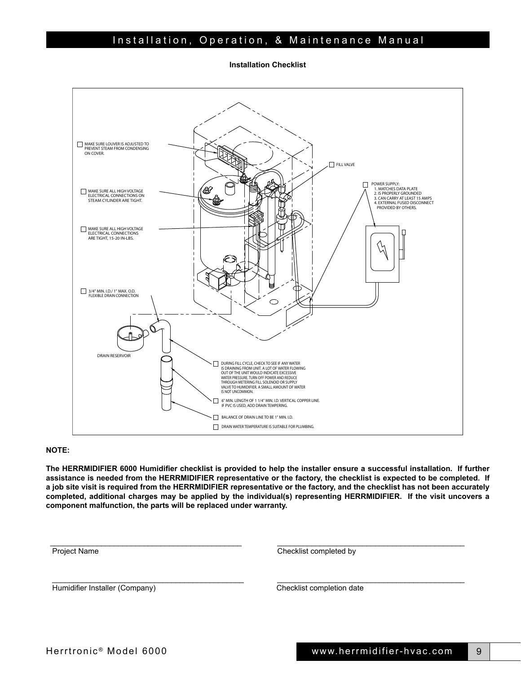**Installation Checklist**



#### **NOTE:**

**The HERRMIDIFIER 6000 Humidifier checklist is provided to help the installer ensure a successful installation. If further assistance is needed from the HERRMIDIFIER representative or the factory, the checklist is expected to be completed. If a job site visit is required from the HERRMIDIFIER representative or the factory, and the checklist has not been accurately completed, additional charges may be applied by the individual(s) representing HERRMIDIFIER. If the visit uncovers a component malfunction, the parts will be replaced under warranty.**

\_\_\_\_\_\_\_\_\_\_\_\_\_\_\_\_\_\_\_\_\_\_\_\_\_\_\_\_\_\_\_\_\_\_\_\_\_\_\_\_\_\_\_\_\_ \_\_\_\_\_\_\_\_\_\_\_\_\_\_\_\_\_\_\_\_\_\_\_\_\_\_\_\_\_\_\_\_\_\_\_\_\_\_\_\_\_\_\_\_

\_\_\_\_\_\_\_\_\_\_\_\_\_\_\_\_\_\_\_\_\_\_\_\_\_\_\_\_\_\_\_\_\_\_\_\_\_\_\_\_\_\_\_\_\_ \_\_\_\_\_\_\_\_\_\_\_\_\_\_\_\_\_\_\_\_\_\_\_\_\_\_\_\_\_\_\_\_\_\_\_\_\_\_\_\_\_\_\_\_

Project Name Checklist completed by

Humidifier Installer (Company) Checklist completion date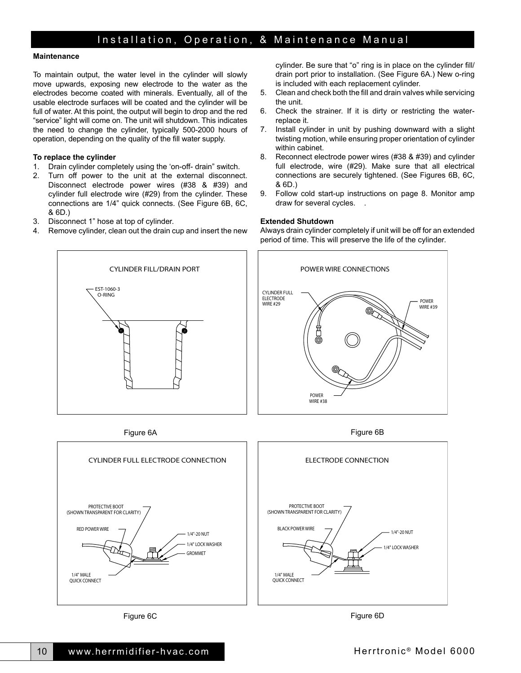#### **Maintenance**

To maintain output, the water level in the cylinder will slowly move upwards, exposing new electrode to the water as the electrodes become coated with minerals. Eventually, all of the usable electrode surfaces will be coated and the cylinder will be full of water. At this point, the output will begin to drop and the red "service" light will come on. The unit will shutdown. This indicates the need to change the cylinder, typically 500-2000 hours of operation, depending on the quality of the fill water supply.

#### **To replace the cylinder**

- 1. Drain cylinder completely using the 'on-off- drain" switch.
- 2. Turn off power to the unit at the external disconnect. Disconnect electrode power wires (#38 & #39) and cylinder full electrode wire (#29) from the cylinder. These connections are 1/4" quick connects. (See Figure 6B, 6C, & 6D.)
- 3. Disconnect 1" hose at top of cylinder.
- 4. Remove cylinder, clean out the drain cup and insert the new

cylinder. Be sure that "o" ring is in place on the cylinder fill/ drain port prior to installation. (See Figure 6A.) New o-ring is included with each replacement cylinder.

- 5. Clean and check both the fill and drain valves while servicing the unit.
- 6. Check the strainer. If it is dirty or restricting the waterreplace it.
- 7. Install cylinder in unit by pushing downward with a slight twisting motion, while ensuring proper orientation of cylinder within cabinet.
- 8. Reconnect electrode power wires (#38 & #39) and cylinder full electrode, wire (#29). Make sure that all electrical connections are securely tightened. (See Figures 6B, 6C, & 6D.)
- 9. Follow cold start-up instructions on page 8. Monitor amp draw for several cycles. .

#### **Extended Shutdown**

Always drain cylinder completely if unit will be off for an extended period of time. This will preserve the life of the cylinder.







Figure 6C







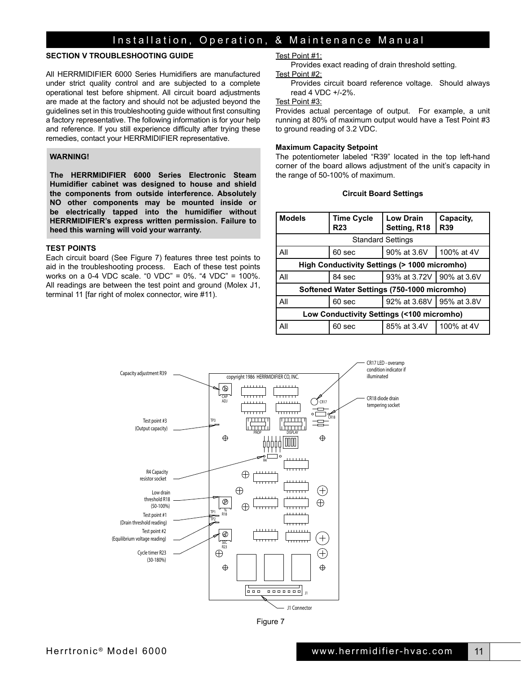#### **SECTION V TROUBLESHOOTING GUIDE**

All HERRMIDIFIER 6000 Series Humidifiers are manufactured under strict quality control and are subjected to a complete operational test before shipment. All circuit board adjustments are made at the factory and should not be adjusted beyond the guidelines set in this troubleshooting guide without first consulting a factory representative. The following information is for your help and reference. If you still experience difficulty after trying these remedies, contact your HERRMIDIFIER representative.

#### **WARNING!**

**The HERRMIDIFIER 6000 Series Electronic Steam Humidifier cabinet was designed to house and shield the components from outside interference. Absolutely NO other components may be mounted inside or be electrically tapped into the humidifier without HERRMIDIFIER's express written permission. Failure to heed this warning will void your warranty.**

#### **TEST POINTS**

Each circuit board (See Figure 7) features three test points to aid in the troubleshooting process. Each of these test points works on a 0-4 VDC scale. "0 VDC" = 0%. "4 VDC" = 100%. All readings are between the test point and ground (Molex J1, terminal 11 [far right of molex connector, wire #11).

Test Point #1:

Provides exact reading of drain threshold setting.

Test Point #2: Provides circuit board reference voltage. Should always read 4 VDC +/-2%.

#### Test Point #3:

Provides actual percentage of output. For example, a unit running at 80% of maximum output would have a Test Point #3 to ground reading of 3.2 VDC.

#### **Maximum Capacity Setpoint**

The potentiometer labeled "R39" located in the top left-hand corner of the board allows adjustment of the unit's capacity in the range of 50-100% of maximum.

#### **Circuit Board Settings**

| <b>Models</b>                                          | <b>Time Cycle</b><br><b>R23</b> | <b>Low Drain</b><br>Setting, R18 | Capacity,<br><b>R39</b> |
|--------------------------------------------------------|---------------------------------|----------------------------------|-------------------------|
|                                                        | <b>Standard Settings</b>        |                                  |                         |
| All                                                    | 60 sec                          | 90% at 3.6V                      | 100% at 4V              |
| <b>High Conductivity Settings (&gt; 1000 micromho)</b> |                                 |                                  |                         |
| All                                                    | 84 sec                          | 93% at 3.72V   90% at 3.6V       |                         |
| Softened Water Settings (750-1000 micromho)            |                                 |                                  |                         |
| All                                                    | 60 <sub>sec</sub>               | 92% at 3.68V   95% at 3.8V       |                         |
| Low Conductivity Settings (<100 micromho)              |                                 |                                  |                         |
| All                                                    | 60 sec                          | 85% at 3.4V                      | 100% at 4V              |



Figure 7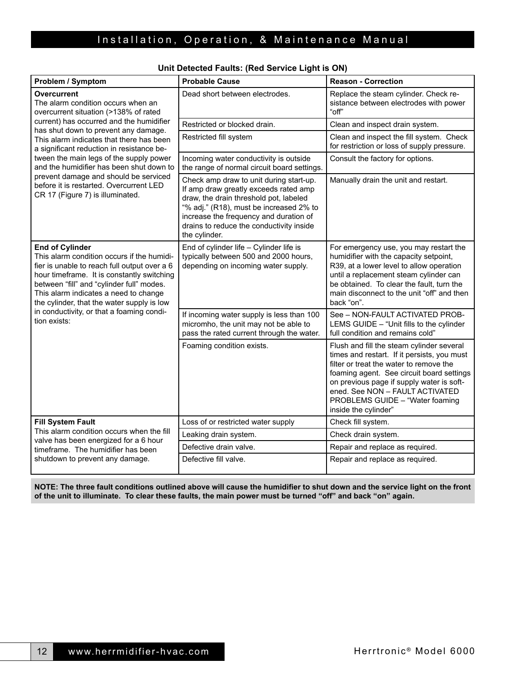| <b>Problem / Symptom</b>                                                                                                                                                                                                                                                                                                                                            | <b>Probable Cause</b>                                                                                                                                                                                                                                                        | <b>Reason - Correction</b>                                                                                                                                                                                                                                                                                                  |
|---------------------------------------------------------------------------------------------------------------------------------------------------------------------------------------------------------------------------------------------------------------------------------------------------------------------------------------------------------------------|------------------------------------------------------------------------------------------------------------------------------------------------------------------------------------------------------------------------------------------------------------------------------|-----------------------------------------------------------------------------------------------------------------------------------------------------------------------------------------------------------------------------------------------------------------------------------------------------------------------------|
| Overcurrent<br>The alarm condition occurs when an<br>overcurrent situation (>138% of rated<br>current) has occurred and the humidifier<br>has shut down to prevent any damage.<br>This alarm indicates that there has been<br>a significant reduction in resistance be-                                                                                             | Dead short between electrodes.                                                                                                                                                                                                                                               | Replace the steam cylinder. Check re-<br>sistance between electrodes with power<br>"off"                                                                                                                                                                                                                                    |
|                                                                                                                                                                                                                                                                                                                                                                     | Restricted or blocked drain.                                                                                                                                                                                                                                                 | Clean and inspect drain system.                                                                                                                                                                                                                                                                                             |
|                                                                                                                                                                                                                                                                                                                                                                     | Restricted fill system                                                                                                                                                                                                                                                       | Clean and inspect the fill system. Check<br>for restriction or loss of supply pressure.                                                                                                                                                                                                                                     |
| tween the main legs of the supply power<br>and the humidifier has been shut down to                                                                                                                                                                                                                                                                                 | Incoming water conductivity is outside<br>the range of normal circuit board settings.                                                                                                                                                                                        | Consult the factory for options.                                                                                                                                                                                                                                                                                            |
| prevent damage and should be serviced<br>before it is restarted. Overcurrent LED<br>CR 17 (Figure 7) is illuminated.                                                                                                                                                                                                                                                | Check amp draw to unit during start-up.<br>If amp draw greatly exceeds rated amp<br>draw, the drain threshold pot, labeled<br>"% adj." (R18), must be increased 2% to<br>increase the frequency and duration of<br>drains to reduce the conductivity inside<br>the cylinder. | Manually drain the unit and restart.                                                                                                                                                                                                                                                                                        |
| <b>End of Cylinder</b><br>This alarm condition occurs if the humidi-<br>fier is unable to reach full output over a 6<br>hour timeframe. It is constantly switching<br>between "fill" and "cylinder full" modes.<br>This alarm indicates a need to change<br>the cylinder, that the water supply is low<br>in conductivity, or that a foaming condi-<br>tion exists: | End of cylinder life - Cylinder life is<br>typically between 500 and 2000 hours,<br>depending on incoming water supply.                                                                                                                                                      | For emergency use, you may restart the<br>humidifier with the capacity setpoint,<br>R39, at a lower level to allow operation<br>until a replacement steam cylinder can<br>be obtained. To clear the fault, turn the<br>main disconnect to the unit "off" and then<br>back "on".                                             |
|                                                                                                                                                                                                                                                                                                                                                                     | If incoming water supply is less than 100<br>micromho, the unit may not be able to<br>pass the rated current through the water.                                                                                                                                              | See - NON-FAULT ACTIVATED PROB-<br>LEMS GUIDE - "Unit fills to the cylinder<br>full condition and remains cold"                                                                                                                                                                                                             |
|                                                                                                                                                                                                                                                                                                                                                                     | Foaming condition exists.                                                                                                                                                                                                                                                    | Flush and fill the steam cylinder several<br>times and restart. If it persists, you must<br>filter or treat the water to remove the<br>foaming agent. See circuit board settings<br>on previous page if supply water is soft-<br>ened. See NON - FAULT ACTIVATED<br>PROBLEMS GUIDE - "Water foaming<br>inside the cylinder" |
| <b>Fill System Fault</b>                                                                                                                                                                                                                                                                                                                                            | Loss of or restricted water supply                                                                                                                                                                                                                                           | Check fill system.                                                                                                                                                                                                                                                                                                          |
| This alarm condition occurs when the fill<br>valve has been energized for a 6 hour<br>timeframe. The humidifier has been                                                                                                                                                                                                                                            | Leaking drain system.                                                                                                                                                                                                                                                        | Check drain system.                                                                                                                                                                                                                                                                                                         |
|                                                                                                                                                                                                                                                                                                                                                                     | Defective drain valve.                                                                                                                                                                                                                                                       | Repair and replace as required.                                                                                                                                                                                                                                                                                             |
| shutdown to prevent any damage.                                                                                                                                                                                                                                                                                                                                     | Defective fill valve.                                                                                                                                                                                                                                                        | Repair and replace as required.                                                                                                                                                                                                                                                                                             |

### **Unit Detected Faults: (Red Service Light is ON)**

**NOTE: The three fault conditions outlined above will cause the humidifier to shut down and the service light on the front of the unit to illuminate. To clear these faults, the main power must be turned "off" and back "on" again.**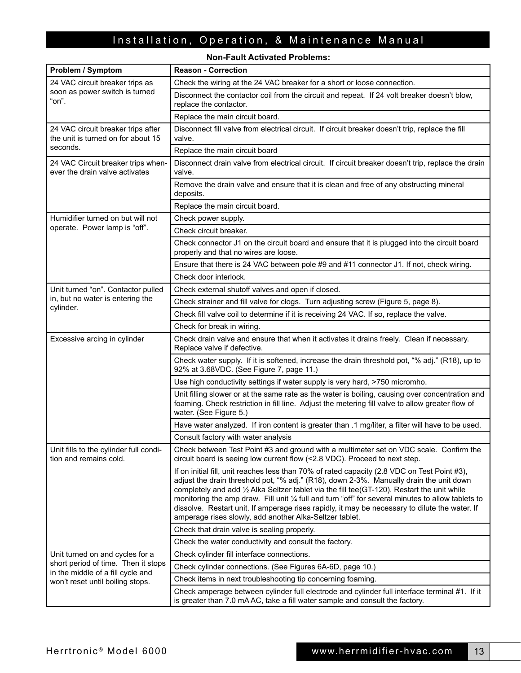**Non-Fault Activated Problems:**

| Problem / Symptom                                                          | <b>Reason - Correction</b>                                                                                                                                                                                                                                                                                                                                                                                                                                                                                                                                          |  |
|----------------------------------------------------------------------------|---------------------------------------------------------------------------------------------------------------------------------------------------------------------------------------------------------------------------------------------------------------------------------------------------------------------------------------------------------------------------------------------------------------------------------------------------------------------------------------------------------------------------------------------------------------------|--|
| 24 VAC circuit breaker trips as<br>soon as power switch is turned<br>"on". | Check the wiring at the 24 VAC breaker for a short or loose connection.                                                                                                                                                                                                                                                                                                                                                                                                                                                                                             |  |
|                                                                            | Disconnect the contactor coil from the circuit and repeat. If 24 volt breaker doesn't blow,<br>replace the contactor.                                                                                                                                                                                                                                                                                                                                                                                                                                               |  |
|                                                                            | Replace the main circuit board.                                                                                                                                                                                                                                                                                                                                                                                                                                                                                                                                     |  |
| 24 VAC circuit breaker trips after<br>the unit is turned on for about 15   | Disconnect fill valve from electrical circuit. If circuit breaker doesn't trip, replace the fill<br>valve.                                                                                                                                                                                                                                                                                                                                                                                                                                                          |  |
| seconds.                                                                   | Replace the main circuit board                                                                                                                                                                                                                                                                                                                                                                                                                                                                                                                                      |  |
| 24 VAC Circuit breaker trips when-<br>ever the drain valve activates       | Disconnect drain valve from electrical circuit. If circuit breaker doesn't trip, replace the drain<br>valve.                                                                                                                                                                                                                                                                                                                                                                                                                                                        |  |
|                                                                            | Remove the drain valve and ensure that it is clean and free of any obstructing mineral<br>deposits.                                                                                                                                                                                                                                                                                                                                                                                                                                                                 |  |
|                                                                            | Replace the main circuit board.                                                                                                                                                                                                                                                                                                                                                                                                                                                                                                                                     |  |
| Humidifier turned on but will not                                          | Check power supply.                                                                                                                                                                                                                                                                                                                                                                                                                                                                                                                                                 |  |
| operate. Power lamp is "off".                                              | Check circuit breaker.                                                                                                                                                                                                                                                                                                                                                                                                                                                                                                                                              |  |
|                                                                            | Check connector J1 on the circuit board and ensure that it is plugged into the circuit board<br>properly and that no wires are loose.                                                                                                                                                                                                                                                                                                                                                                                                                               |  |
|                                                                            | Ensure that there is 24 VAC between pole #9 and #11 connector J1. If not, check wiring.                                                                                                                                                                                                                                                                                                                                                                                                                                                                             |  |
|                                                                            | Check door interlock.                                                                                                                                                                                                                                                                                                                                                                                                                                                                                                                                               |  |
| Unit turned "on". Contactor pulled                                         | Check external shutoff valves and open if closed.                                                                                                                                                                                                                                                                                                                                                                                                                                                                                                                   |  |
| in, but no water is entering the<br>cylinder.                              | Check strainer and fill valve for clogs. Turn adjusting screw (Figure 5, page 8).                                                                                                                                                                                                                                                                                                                                                                                                                                                                                   |  |
|                                                                            | Check fill valve coil to determine if it is receiving 24 VAC. If so, replace the valve.                                                                                                                                                                                                                                                                                                                                                                                                                                                                             |  |
|                                                                            | Check for break in wiring.                                                                                                                                                                                                                                                                                                                                                                                                                                                                                                                                          |  |
| Excessive arcing in cylinder                                               | Check drain valve and ensure that when it activates it drains freely. Clean if necessary.<br>Replace valve if defective.                                                                                                                                                                                                                                                                                                                                                                                                                                            |  |
|                                                                            | Check water supply. If it is softened, increase the drain threshold pot, "% adj." (R18), up to<br>92% at 3.68VDC. (See Figure 7, page 11.)                                                                                                                                                                                                                                                                                                                                                                                                                          |  |
|                                                                            | Use high conductivity settings if water supply is very hard, >750 micromho.                                                                                                                                                                                                                                                                                                                                                                                                                                                                                         |  |
|                                                                            | Unit filling slower or at the same rate as the water is boiling, causing over concentration and<br>foaming. Check restriction in fill line. Adjust the metering fill valve to allow greater flow of<br>water. (See Figure 5.)                                                                                                                                                                                                                                                                                                                                       |  |
|                                                                            | Have water analyzed. If iron content is greater than .1 mg/liter, a filter will have to be used.                                                                                                                                                                                                                                                                                                                                                                                                                                                                    |  |
|                                                                            | Consult factory with water analysis                                                                                                                                                                                                                                                                                                                                                                                                                                                                                                                                 |  |
| Unit fills to the cylinder full condi-<br>tion and remains cold.           | Check between Test Point #3 and ground with a multimeter set on VDC scale. Confirm the<br>circuit board is seeing low current flow (<2.8 VDC). Proceed to next step.                                                                                                                                                                                                                                                                                                                                                                                                |  |
|                                                                            | If on initial fill, unit reaches less than 70% of rated capacity (2.8 VDC on Test Point #3),<br>adjust the drain threshold pot, "% adj." (R18), down 2-3%. Manually drain the unit down<br>completely and add 1/2 Alka Seltzer tablet via the fill tee(GT-120). Restart the unit while<br>monitoring the amp draw. Fill unit $\frac{1}{4}$ full and turn "off" for several minutes to allow tablets to<br>dissolve. Restart unit. If amperage rises rapidly, it may be necessary to dilute the water. If<br>amperage rises slowly, add another Alka-Seltzer tablet. |  |
|                                                                            | Check that drain valve is sealing properly.                                                                                                                                                                                                                                                                                                                                                                                                                                                                                                                         |  |
|                                                                            | Check the water conductivity and consult the factory.                                                                                                                                                                                                                                                                                                                                                                                                                                                                                                               |  |
| Unit turned on and cycles for a                                            | Check cylinder fill interface connections.                                                                                                                                                                                                                                                                                                                                                                                                                                                                                                                          |  |
| short period of time. Then it stops<br>in the middle of a fill cycle and   | Check cylinder connections. (See Figures 6A-6D, page 10.)                                                                                                                                                                                                                                                                                                                                                                                                                                                                                                           |  |
| won't reset until boiling stops.                                           | Check items in next troubleshooting tip concerning foaming.                                                                                                                                                                                                                                                                                                                                                                                                                                                                                                         |  |
|                                                                            | Check amperage between cylinder full electrode and cylinder full interface terminal #1. If it<br>is greater than 7.0 mAAC, take a fill water sample and consult the factory.                                                                                                                                                                                                                                                                                                                                                                                        |  |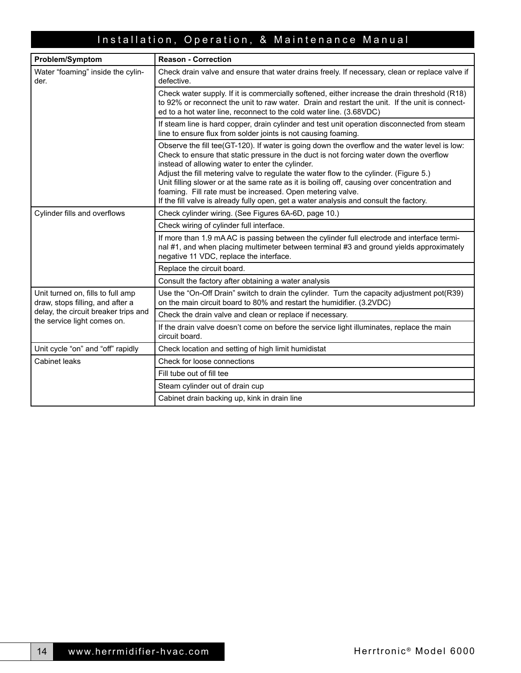| <b>Problem/Symptom</b>                                                                                                                       | <b>Reason - Correction</b>                                                                                                                                                                                                                                                                                                                                                                                                                                                                                                                                                                     |  |
|----------------------------------------------------------------------------------------------------------------------------------------------|------------------------------------------------------------------------------------------------------------------------------------------------------------------------------------------------------------------------------------------------------------------------------------------------------------------------------------------------------------------------------------------------------------------------------------------------------------------------------------------------------------------------------------------------------------------------------------------------|--|
| Water "foaming" inside the cylin-<br>der.                                                                                                    | Check drain valve and ensure that water drains freely. If necessary, clean or replace valve if<br>defective.                                                                                                                                                                                                                                                                                                                                                                                                                                                                                   |  |
|                                                                                                                                              | Check water supply. If it is commercially softened, either increase the drain threshold (R18)<br>to 92% or reconnect the unit to raw water. Drain and restart the unit. If the unit is connect-<br>ed to a hot water line, reconnect to the cold water line. (3.68VDC)                                                                                                                                                                                                                                                                                                                         |  |
|                                                                                                                                              | If steam line is hard copper, drain cylinder and test unit operation disconnected from steam<br>line to ensure flux from solder joints is not causing foaming.                                                                                                                                                                                                                                                                                                                                                                                                                                 |  |
|                                                                                                                                              | Observe the fill tee(GT-120). If water is going down the overflow and the water level is low:<br>Check to ensure that static pressure in the duct is not forcing water down the overflow<br>instead of allowing water to enter the cylinder.<br>Adjust the fill metering valve to regulate the water flow to the cylinder. (Figure 5.)<br>Unit filling slower or at the same rate as it is boiling off, causing over concentration and<br>foaming. Fill rate must be increased. Open metering valve.<br>If the fill valve is already fully open, get a water analysis and consult the factory. |  |
| Cylinder fills and overflows                                                                                                                 | Check cylinder wiring. (See Figures 6A-6D, page 10.)                                                                                                                                                                                                                                                                                                                                                                                                                                                                                                                                           |  |
|                                                                                                                                              | Check wiring of cylinder full interface.                                                                                                                                                                                                                                                                                                                                                                                                                                                                                                                                                       |  |
|                                                                                                                                              | If more than 1.9 mA AC is passing between the cylinder full electrode and interface termi-<br>nal #1, and when placing multimeter between terminal #3 and ground yields approximately<br>negative 11 VDC, replace the interface.                                                                                                                                                                                                                                                                                                                                                               |  |
|                                                                                                                                              | Replace the circuit board.                                                                                                                                                                                                                                                                                                                                                                                                                                                                                                                                                                     |  |
|                                                                                                                                              | Consult the factory after obtaining a water analysis                                                                                                                                                                                                                                                                                                                                                                                                                                                                                                                                           |  |
| Unit turned on, fills to full amp<br>draw, stops filling, and after a<br>delay, the circuit breaker trips and<br>the service light comes on. | Use the "On-Off Drain" switch to drain the cylinder. Turn the capacity adjustment pot(R39)<br>on the main circuit board to 80% and restart the humidifier. (3.2VDC)                                                                                                                                                                                                                                                                                                                                                                                                                            |  |
|                                                                                                                                              | Check the drain valve and clean or replace if necessary.                                                                                                                                                                                                                                                                                                                                                                                                                                                                                                                                       |  |
|                                                                                                                                              | If the drain valve doesn't come on before the service light illuminates, replace the main<br>circuit board.                                                                                                                                                                                                                                                                                                                                                                                                                                                                                    |  |
| Unit cycle "on" and "off" rapidly                                                                                                            | Check location and setting of high limit humidistat                                                                                                                                                                                                                                                                                                                                                                                                                                                                                                                                            |  |
| Cabinet leaks                                                                                                                                | Check for loose connections                                                                                                                                                                                                                                                                                                                                                                                                                                                                                                                                                                    |  |
|                                                                                                                                              | Fill tube out of fill tee                                                                                                                                                                                                                                                                                                                                                                                                                                                                                                                                                                      |  |
|                                                                                                                                              | Steam cylinder out of drain cup                                                                                                                                                                                                                                                                                                                                                                                                                                                                                                                                                                |  |
|                                                                                                                                              | Cabinet drain backing up, kink in drain line                                                                                                                                                                                                                                                                                                                                                                                                                                                                                                                                                   |  |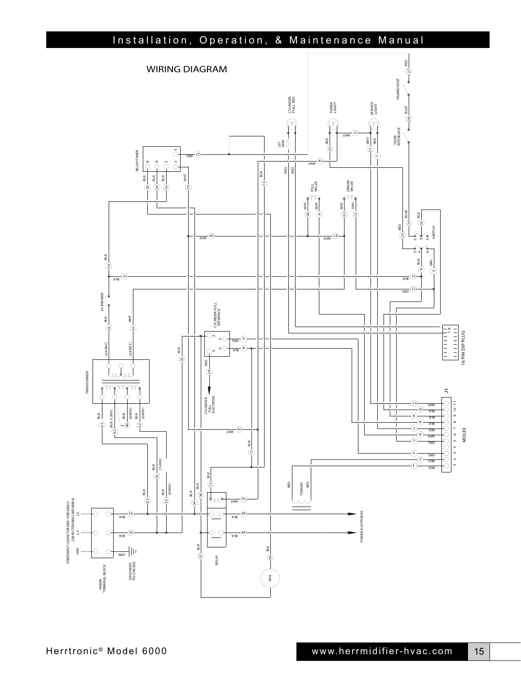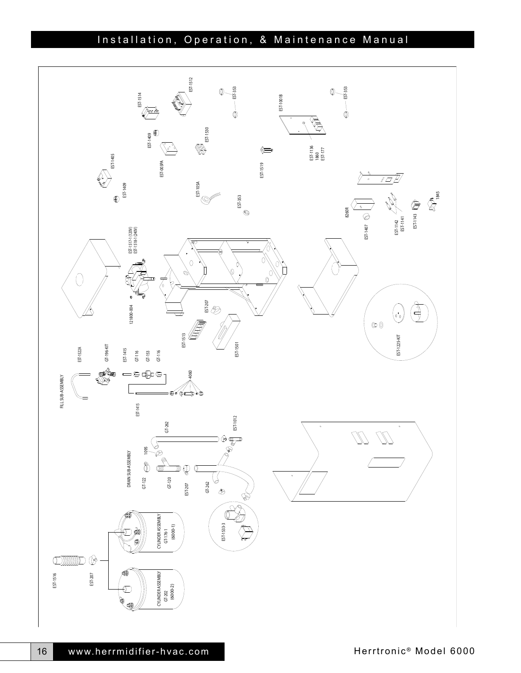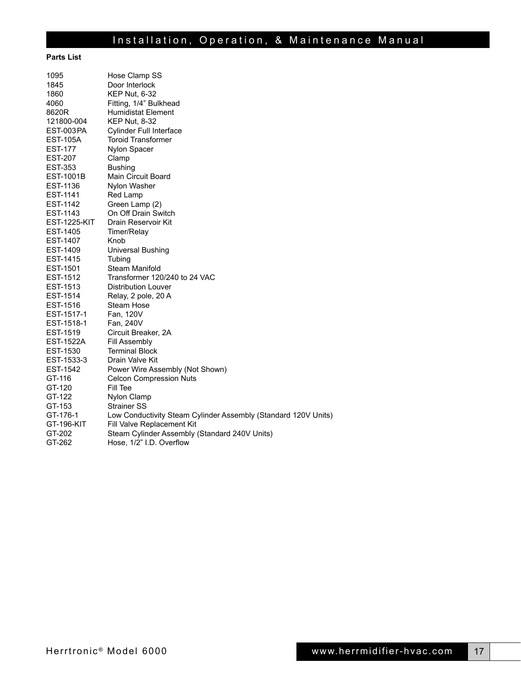#### **Parts List**

| 1095                | Hose Clamp SS                                                  |
|---------------------|----------------------------------------------------------------|
| 1845                | Door Interlock                                                 |
| 1860                | <b>KEP Nut, 6-32</b>                                           |
| 4060                | Fitting, 1/4" Bulkhead                                         |
| 8620R               | Humidistat Element                                             |
| 121800-004          | <b>KEP Nut, 8-32</b>                                           |
| <b>EST-003PA</b>    | <b>Cylinder Full Interface</b>                                 |
| <b>EST-105A</b>     | <b>Toroid Transformer</b>                                      |
| <b>EST-177</b>      | Nylon Spacer                                                   |
| <b>EST-207</b>      | Clamp                                                          |
| <b>EST-353</b>      | <b>Bushing</b>                                                 |
| <b>EST-1001B</b>    | Main Circuit Board                                             |
| EST-1136            | Nylon Washer                                                   |
| EST-1141            | Red Lamp                                                       |
| EST-1142            | Green Lamp (2)                                                 |
| EST-1143            | On Off Drain Switch                                            |
| <b>EST-1225-KIT</b> | Drain Reservoir Kit                                            |
| EST-1405            | Timer/Relay                                                    |
| EST-1407            | Knob                                                           |
| EST-1409            | Universal Bushing                                              |
| EST-1415            | Tubing                                                         |
| EST-1501            | Steam Manifold                                                 |
| EST-1512            | Transformer 120/240 to 24 VAC                                  |
| EST-1513            | <b>Distribution Louver</b>                                     |
| EST-1514            | Relay, 2 pole, 20 A                                            |
| EST-1516            | Steam Hose                                                     |
| EST-1517-1          | Fan, 120V                                                      |
| EST-1518-1          | Fan, 240V                                                      |
| EST-1519            | Circuit Breaker, 2A                                            |
| <b>EST-1522A</b>    | Fill Assembly                                                  |
| EST-1530            | <b>Terminal Block</b>                                          |
| EST-1533-3          | Drain Valve Kit                                                |
| EST-1542            | Power Wire Assembly (Not Shown)                                |
| GT-116              | <b>Celcon Compression Nuts</b>                                 |
| GT-120              | Fill Tee                                                       |
| GT-122              | Nylon Clamp                                                    |
| GT-153              | <b>Strainer SS</b>                                             |
| GT-176-1            | Low Conductivity Steam Cylinder Assembly (Standard 120V Units) |
| GT-196-KIT          | Fill Valve Replacement Kit                                     |
| GT-202              | Steam Cylinder Assembly (Standard 240V Units)                  |
| GT-262              | Hose, 1/2" I.D. Overflow                                       |